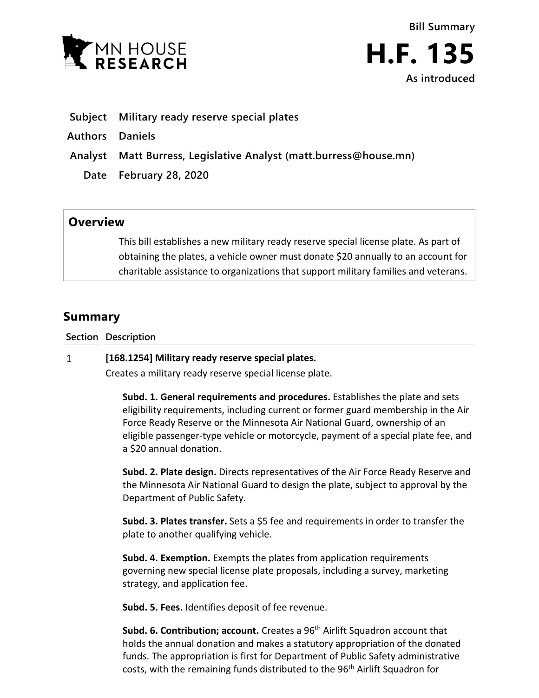

- **Subject Military ready reserve special plates**
- **Authors Daniels**
- **Analyst Matt Burress, Legislative Analyst (matt.burress@house.mn)**
	- **Date February 28, 2020**

## **Overview**

This bill establishes a new military ready reserve special license plate. As part of obtaining the plates, a vehicle owner must donate \$20 annually to an account for charitable assistance to organizations that support military families and veterans.

## **Summary**

**Section Description**

## $\mathbf{1}$ **[168.1254] Military ready reserve special plates.**

Creates a military ready reserve special license plate.

**Subd. 1. General requirements and procedures.** Establishes the plate and sets eligibility requirements, including current or former guard membership in the Air Force Ready Reserve or the Minnesota Air National Guard, ownership of an eligible passenger-type vehicle or motorcycle, payment of a special plate fee, and a \$20 annual donation.

**Subd. 2. Plate design.** Directs representatives of the Air Force Ready Reserve and the Minnesota Air National Guard to design the plate, subject to approval by the Department of Public Safety.

**Subd. 3. Plates transfer.** Sets a \$5 fee and requirements in order to transfer the plate to another qualifying vehicle.

**Subd. 4. Exemption.** Exempts the plates from application requirements governing new special license plate proposals, including a survey, marketing strategy, and application fee.

**Subd. 5. Fees.** Identifies deposit of fee revenue.

**Subd. 6. Contribution; account.** Creates a 96<sup>th</sup> Airlift Squadron account that holds the annual donation and makes a statutory appropriation of the donated funds. The appropriation is first for Department of Public Safety administrative costs, with the remaining funds distributed to the 96<sup>th</sup> Airlift Squadron for